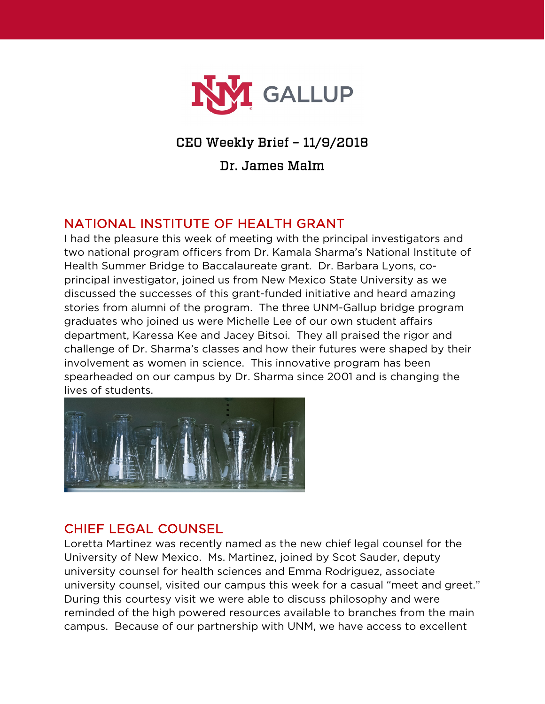

## CEO Weekly Brief – 11/9/2018

Dr. James Malm

## NATIONAL INSTITUTE OF HEALTH GRANT

I had the pleasure this week of meeting with the principal investigators and two national program officers from Dr. Kamala Sharma's National Institute of Health Summer Bridge to Baccalaureate grant. Dr. Barbara Lyons, coprincipal investigator, joined us from New Mexico State University as we discussed the successes of this grant-funded initiative and heard amazing stories from alumni of the program. The three UNM-Gallup bridge program graduates who joined us were Michelle Lee of our own student affairs department, Karessa Kee and Jacey Bitsoi. They all praised the rigor and challenge of Dr. Sharma's classes and how their futures were shaped by their involvement as women in science. This innovative program has been spearheaded on our campus by Dr. Sharma since 2001 and is changing the lives of students.



## CHIEF LEGAL COUNSEL

Loretta Martinez was recently named as the new chief legal counsel for the University of New Mexico. Ms. Martinez, joined by Scot Sauder, deputy university counsel for health sciences and Emma Rodriguez, associate university counsel, visited our campus this week for a casual "meet and greet." During this courtesy visit we were able to discuss philosophy and were reminded of the high powered resources available to branches from the main campus. Because of our partnership with UNM, we have access to excellent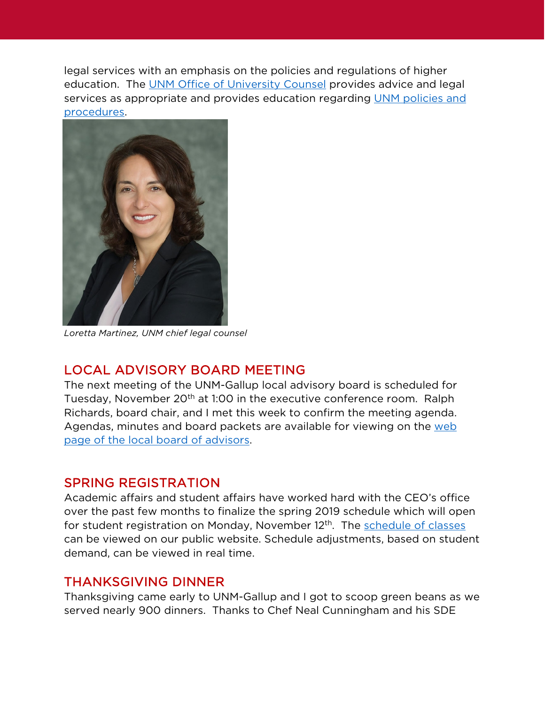legal services with an emphasis on the policies and regulations of higher education. The [UNM Office of University Counsel](http://counsel.unm.edu/index.html) provides advice and legal services as appropriate and provides education regarding [UNM policies and](http://policy.unm.edu/)  [procedures.](http://policy.unm.edu/)



*Loretta Martinez, UNM chief legal counsel*

### LOCAL ADVISORY BOARD MEETING

The next meeting of the UNM-Gallup local advisory board is scheduled for Tuesday, November 20<sup>th</sup> at 1:00 in the executive conference room. Ralph Richards, board chair, and I met this week to confirm the meeting agenda. Agendas, minutes and board packets are available for viewing on the [web](https://www.gallup.unm.edu/administration/localboard/)  [page of the local board of advisors.](https://www.gallup.unm.edu/administration/localboard/)

#### SPRING REGISTRATION

Academic affairs and student affairs have worked hard with the CEO's office over the past few months to finalize the spring 2019 schedule which will open for student registration on Monday, November 12<sup>th</sup>. The [schedule of classes](https://www8.unm.edu/apex_ods/f?p=SCHEDULE_OF_CLASSES:SCHEDULE:::NO:RIR,3:P3PERIOD,P3CAMPUS:201910,GA) can be viewed on our public website. Schedule adjustments, based on student demand, can be viewed in real time.

### THANKSGIVING DINNER

Thanksgiving came early to UNM-Gallup and I got to scoop green beans as we served nearly 900 dinners. Thanks to Chef Neal Cunningham and his SDE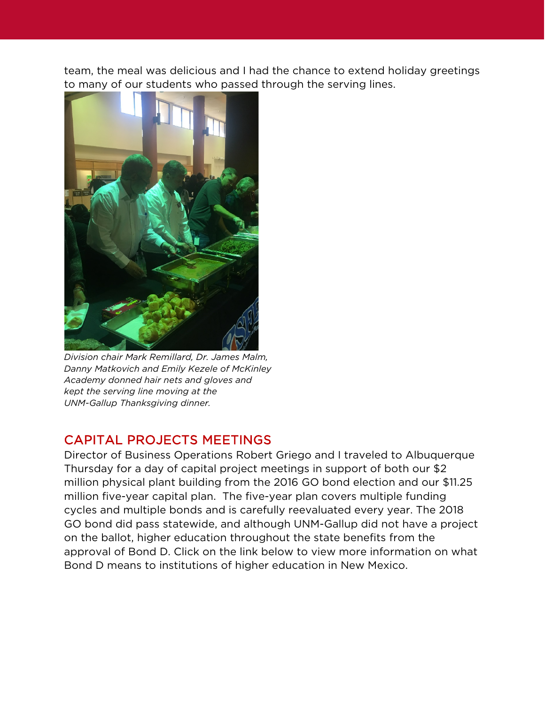team, the meal was delicious and I had the chance to extend holiday greetings to many of our students who passed through the serving lines.



*Division chair Mark Remillard, Dr. James Malm, Danny Matkovich and Emily Kezele of McKinley Academy donned hair nets and gloves and kept the serving line moving at the UNM-Gallup Thanksgiving dinner.*

## CAPITAL PROJECTS MEETINGS

Director of Business Operations Robert Griego and I traveled to Albuquerque Thursday for a day of capital project meetings in support of both our \$2 million physical plant building from the 2016 GO bond election and our \$11.25 million five-year capital plan. The five-year plan covers multiple funding cycles and multiple bonds and is carefully reevaluated every year. The 2018 GO bond did pass statewide, and although UNM-Gallup did not have a project on the ballot, higher education throughout the state benefits from the approval of Bond D. Click on the link below to view more information on what Bond D means to institutions of higher education in New Mexico.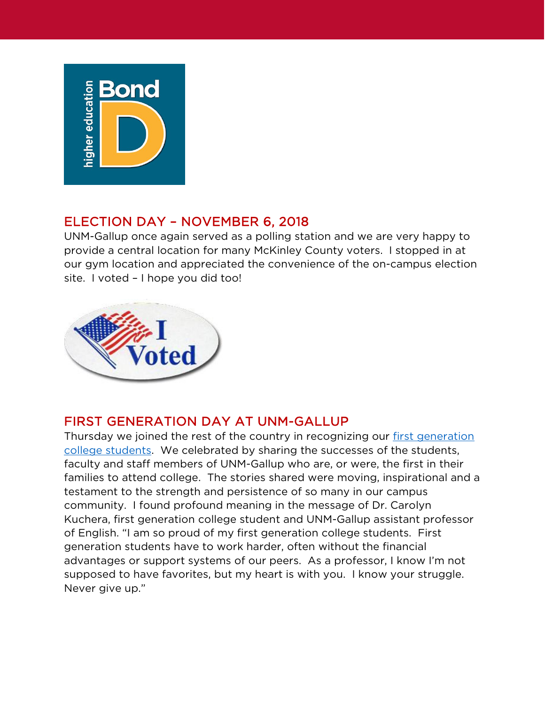

# ELECTION DAY – NOVEMBER 6, 2018

UNM-Gallup once again served as a polling station and we are very happy to provide a central location for many McKinley County voters. I stopped in at our gym location and appreciated the convenience of the on-campus election site. I voted – I hope you did too!



## FIRST GENERATION DAY AT UNM-GALLUP

Thursday we joined the rest of the country in recognizing our [first generation](https://firstgen.naspa.org/events/2018-first-generation-college-celebration)  [college students.](https://firstgen.naspa.org/events/2018-first-generation-college-celebration) We celebrated by sharing the successes of the students, faculty and staff members of UNM-Gallup who are, or were, the first in their families to attend college. The stories shared were moving, inspirational and a testament to the strength and persistence of so many in our campus community. I found profound meaning in the message of Dr. Carolyn Kuchera, first generation college student and UNM-Gallup assistant professor of English. "I am so proud of my first generation college students. First generation students have to work harder, often without the financial advantages or support systems of our peers. As a professor, I know I'm not supposed to have favorites, but my heart is with you. I know your struggle. Never give up."